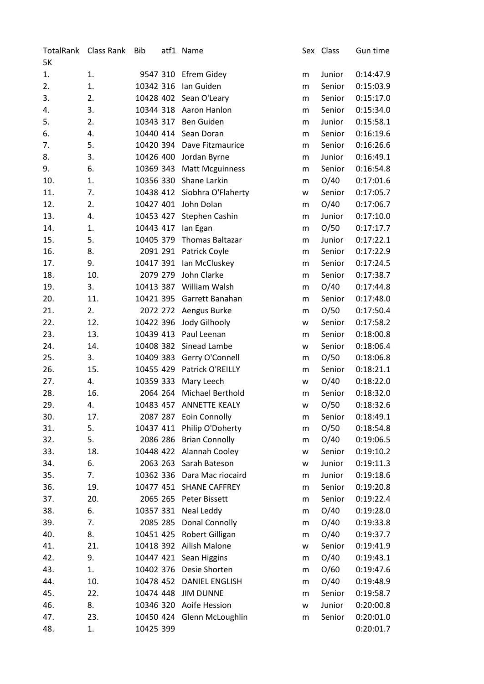| TotalRank | Class Rank | <b>Bib</b> | atf1 Name                  |   | Sex Class | Gun time  |
|-----------|------------|------------|----------------------------|---|-----------|-----------|
| 5K        |            |            |                            |   |           |           |
| 1.        | 1.         |            | 9547 310 Efrem Gidey       | m | Junior    | 0:14:47.9 |
| 2.        | 1.         | 10342 316  | Ian Guiden                 | m | Senior    | 0:15:03.9 |
| 3.        | 2.         |            | 10428 402 Sean O'Leary     | m | Senior    | 0:15:17.0 |
| 4.        | 3.         | 10344 318  | Aaron Hanlon               | m | Senior    | 0:15:34.0 |
| 5.        | 2.         | 10343 317  | Ben Guiden                 | m | Junior    | 0:15:58.1 |
| 6.        | 4.         |            | 10440 414 Sean Doran       | m | Senior    | 0:16:19.6 |
| 7.        | 5.         | 10420 394  | Dave Fitzmaurice           | m | Senior    | 0:16:26.6 |
| 8.        | 3.         | 10426 400  | Jordan Byrne               | m | Junior    | 0:16:49.1 |
| 9.        | 6.         | 10369 343  | <b>Matt Mcguinness</b>     | m | Senior    | 0:16:54.8 |
| 10.       | 1.         |            | 10356 330 Shane Larkin     | m | O/40      | 0:17:01.6 |
| 11.       | 7.         | 10438 412  | Siobhra O'Flaherty         | w | Senior    | 0:17:05.7 |
| 12.       | 2.         | 10427 401  | John Dolan                 | m | O/40      | 0:17:06.7 |
| 13.       | 4.         | 10453 427  | Stephen Cashin             | m | Junior    | 0:17:10.0 |
| 14.       | 1.         | 10443 417  | lan Egan                   | m | O/50      | 0:17:17.7 |
| 15.       | 5.         | 10405 379  | <b>Thomas Baltazar</b>     | m | Junior    | 0:17:22.1 |
| 16.       | 8.         | 2091 291   | Patrick Coyle              | m | Senior    | 0:17:22.9 |
| 17.       | 9.         | 10417 391  | Ian McCluskey              | m | Senior    | 0:17:24.5 |
| 18.       | 10.        | 2079 279   | John Clarke                | m | Senior    | 0:17:38.7 |
| 19.       | 3.         | 10413 387  | William Walsh              | m | O/40      | 0:17:44.8 |
| 20.       | 11.        | 10421 395  | Garrett Banahan            | m | Senior    | 0:17:48.0 |
| 21.       | 2.         | 2072 272   | Aengus Burke               | m | O/50      | 0:17:50.4 |
| 22.       | 12.        | 10422 396  | Jody Gilhooly              | W | Senior    | 0:17:58.2 |
| 23.       | 13.        | 10439 413  | Paul Leenan                | m | Senior    | 0:18:00.8 |
| 24.       | 14.        | 10408 382  | Sinead Lambe               | W | Senior    | 0:18:06.4 |
| 25.       | 3.         | 10409 383  | Gerry O'Connell            | m | O/50      | 0:18:06.8 |
| 26.       | 15.        | 10455 429  | Patrick O'REILLY           | m | Senior    | 0:18:21.1 |
| 27.       | 4.         | 10359 333  | Mary Leech                 | W | O/40      | 0:18:22.0 |
| 28.       | 16.        | 2064 264   | Michael Berthold           | m | Senior    | 0:18:32.0 |
| 29.       | 4.         | 10483 457  | <b>ANNETTE KEALY</b>       | W | O/50      | 0:18:32.6 |
| 30.       | 17.        | 2087 287   | Eoin Connolly              | m | Senior    | 0:18:49.1 |
| 31.       | 5.         | 10437 411  | Philip O'Doherty           | m | O/50      | 0:18:54.8 |
| 32.       | 5.         |            | 2086 286 Brian Connolly    | m | O/40      | 0:19:06.5 |
| 33.       | 18.        | 10448 422  | Alannah Cooley             | W | Senior    | 0:19:10.2 |
| 34.       | 6.         |            | 2063 263 Sarah Bateson     | w | Junior    | 0:19:11.3 |
| 35.       | 7.         | 10362 336  | Dara Mac riocaird          | m | Junior    | 0:19:18.6 |
| 36.       | 19.        |            | 10477 451 SHANE CAFFREY    | m | Senior    | 0:19:20.8 |
| 37.       | 20.        | 2065 265   | Peter Bissett              | m | Senior    | 0:19:22.4 |
| 38.       | 6.         | 10357 331  | Neal Leddy                 | m | O/40      | 0:19:28.0 |
| 39.       | 7.         | 2085 285   | Donal Connolly             | m | O/40      | 0:19:33.8 |
| 40.       | 8.         | 10451 425  | Robert Gilligan            | m | O/40      | 0:19:37.7 |
| 41.       | 21.        | 10418 392  | Ailish Malone              | W | Senior    | 0:19:41.9 |
| 42.       | 9.         | 10447 421  | Sean Higgins               | m | O/40      | 0:19:43.1 |
| 43.       | 1.         | 10402 376  | Desie Shorten              | m | O/60      | 0:19:47.6 |
| 44.       | 10.        | 10478 452  | <b>DANIEL ENGLISH</b>      | m | O/40      | 0:19:48.9 |
| 45.       | 22.        | 10474 448  | <b>JIM DUNNE</b>           | m | Senior    | 0:19:58.7 |
| 46.       | 8.         |            | 10346 320 Aoife Hession    | W | Junior    | 0:20:00.8 |
| 47.       | 23.        |            | 10450 424 Glenn McLoughlin | m | Senior    | 0:20:01.0 |
| 48.       |            |            |                            |   |           |           |
|           | 1.         | 10425 399  |                            |   |           | 0:20:01.7 |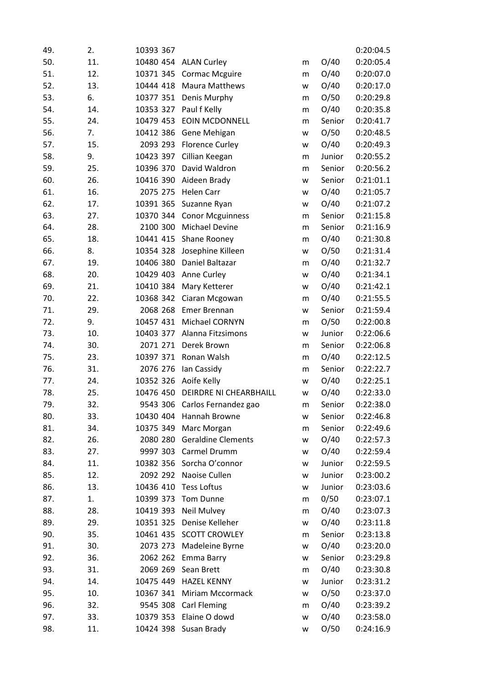| 49. | 2.  | 10393 367 |                            |   |        | 0:20:04.5 |
|-----|-----|-----------|----------------------------|---|--------|-----------|
| 50. | 11. | 10480 454 | <b>ALAN Curley</b>         | m | O/40   | 0:20:05.4 |
| 51. | 12. | 10371 345 | <b>Cormac Mcguire</b>      | m | O/40   | 0:20:07.0 |
| 52. | 13. | 10444 418 | <b>Maura Matthews</b>      | W | O/40   | 0:20:17.0 |
| 53. | 6.  | 10377 351 | Denis Murphy               | m | O/50   | 0:20:29.8 |
| 54. | 14. | 10353 327 | Paul f Kelly               | m | O/40   | 0:20:35.8 |
| 55. | 24. | 10479 453 | <b>EOIN MCDONNELL</b>      | m | Senior | 0:20:41.7 |
| 56. | 7.  | 10412 386 | Gene Mehigan               | w | O/50   | 0:20:48.5 |
| 57. | 15. | 2093 293  | <b>Florence Curley</b>     | W | O/40   | 0:20:49.3 |
| 58. | 9.  | 10423 397 | Cillian Keegan             | m | Junior | 0:20:55.2 |
| 59. | 25. | 10396 370 | David Waldron              | m | Senior | 0:20:56.2 |
| 60. | 26. | 10416 390 | Aideen Brady               | W | Senior | 0:21:01.1 |
| 61. | 16. | 2075 275  | <b>Helen Carr</b>          | w | O/40   | 0:21:05.7 |
| 62. | 17. | 10391 365 | Suzanne Ryan               | w | O/40   | 0:21:07.2 |
| 63. | 27. |           | 10370 344 Conor Mcguinness | m | Senior | 0:21:15.8 |
| 64. | 28. | 2100 300  | <b>Michael Devine</b>      | m | Senior | 0:21:16.9 |
| 65. | 18. | 10441 415 | Shane Rooney               | m | O/40   | 0:21:30.8 |
| 66. | 8.  | 10354 328 | Josephine Killeen          | w | O/50   | 0:21:31.4 |
| 67. | 19. | 10406 380 | Daniel Baltazar            | m | O/40   | 0:21:32.7 |
| 68. | 20. | 10429 403 | Anne Curley                | w | O/40   | 0:21:34.1 |
| 69. | 21. | 10410 384 | Mary Ketterer              | w | O/40   | 0:21:42.1 |
| 70. | 22. | 10368 342 | Ciaran Mcgowan             | m | O/40   | 0:21:55.5 |
| 71. | 29. | 2068 268  | Emer Brennan               | w | Senior | 0:21:59.4 |
| 72. | 9.  | 10457 431 | Michael CORNYN             | m | O/50   | 0:22:00.8 |
| 73. | 10. | 10403 377 | Alanna Fitzsimons          | W | Junior | 0:22:06.6 |
| 74. | 30. | 2071 271  | Derek Brown                | m | Senior | 0:22:06.8 |
| 75. | 23. | 10397 371 | Ronan Walsh                | m | O/40   | 0:22:12.5 |
| 76. | 31. | 2076 276  | Ian Cassidy                | m | Senior | 0:22:22.7 |
| 77. | 24. | 10352 326 | Aoife Kelly                | W | O/40   | 0:22:25.1 |
| 78. | 25. | 10476 450 | DEIRDRE NI CHEARBHAILL     | w | O/40   | 0:22:33.0 |
| 79. | 32. | 9543 306  | Carlos Fernandez gao       | m | Senior | 0:22:38.0 |
| 80. | 33. | 10430 404 | Hannah Browne              | w | Senior | 0:22:46.8 |
| 81. | 34. | 10375 349 | Marc Morgan                | m | Senior | 0:22:49.6 |
| 82. | 26. | 2080 280  | <b>Geraldine Clements</b>  | W | O/40   | 0:22:57.3 |
| 83. | 27. | 9997 303  | Carmel Drumm               | W | O/40   | 0:22:59.4 |
| 84. | 11. |           | 10382 356 Sorcha O'connor  | w | Junior | 0:22:59.5 |
| 85. | 12. | 2092 292  | Naoise Cullen              | w | Junior | 0:23:00.2 |
| 86. | 13. | 10436 410 | <b>Tess Loftus</b>         | w | Junior | 0:23:03.6 |
| 87. | 1.  | 10399 373 | Tom Dunne                  | m | 0/50   | 0:23:07.1 |
| 88. | 28. | 10419 393 | <b>Neil Mulvey</b>         | m | O/40   | 0:23:07.3 |
| 89. | 29. | 10351 325 | Denise Kelleher            | W | O/40   | 0:23:11.8 |
| 90. | 35. | 10461 435 | <b>SCOTT CROWLEY</b>       | m | Senior | 0:23:13.8 |
| 91. | 30. | 2073 273  | Madeleine Byrne            | W | O/40   | 0:23:20.0 |
| 92. | 36. | 2062 262  | Emma Barry                 | W | Senior | 0:23:29.8 |
| 93. | 31. | 2069 269  | Sean Brett                 | m | O/40   | 0:23:30.8 |
| 94. | 14. | 10475 449 | <b>HAZEL KENNY</b>         | W | Junior | 0:23:31.2 |
| 95. | 10. | 10367 341 | Miriam Mccormack           | W | O/50   | 0:23:37.0 |
| 96. | 32. | 9545 308  | <b>Carl Fleming</b>        | m | O/40   | 0:23:39.2 |
| 97. | 33. | 10379 353 | Elaine O dowd              | W | O/40   | 0:23:58.0 |
| 98. | 11. |           | 10424 398 Susan Brady      | W | O/50   | 0:24:16.9 |
|     |     |           |                            |   |        |           |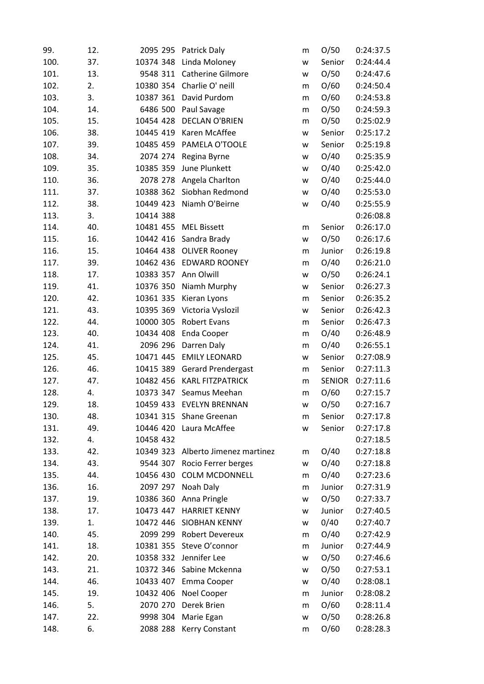| 99.  | 12. | 2095 295             | Patrick Daly               | m         | O/50          | 0:24:37.5 |
|------|-----|----------------------|----------------------------|-----------|---------------|-----------|
| 100. | 37. | 10374 348            | Linda Moloney              | W         | Senior        | 0:24:44.4 |
| 101. | 13. |                      | 9548 311 Catherine Gilmore | W         | O/50          | 0:24:47.6 |
| 102. | 2.  | 10380 354            | Charlie O' neill           | m         | O/60          | 0:24:50.4 |
| 103. | 3.  | 10387 361            | David Purdom               | ${\sf m}$ | O/60          | 0:24:53.8 |
| 104. | 14. |                      | 6486 500 Paul Savage       | m         | O/50          | 0:24:59.3 |
| 105. | 15. | 10454 428            | <b>DECLAN O'BRIEN</b>      | m         | O/50          | 0:25:02.9 |
| 106. | 38. | 10445 419            | Karen McAffee              | W         | Senior        | 0:25:17.2 |
| 107. | 39. | 10485 459            | PAMELA O'TOOLE             | W         | Senior        | 0:25:19.8 |
| 108. | 34. | 2074 274             | Regina Byrne               | W         | O/40          | 0:25:35.9 |
| 109. | 35. | 10385 359            | June Plunkett              | W         | O/40          | 0:25:42.0 |
| 110. | 36. | 2078 278             | Angela Charlton            | W         | O/40          | 0:25:44.0 |
| 111. | 37. |                      | 10388 362 Siobhan Redmond  | W         | O/40          | 0:25:53.0 |
| 112. | 38. | 10449 423            | Niamh O'Beirne             | W         | O/40          | 0:25:55.9 |
| 113. | 3.  | 10414 388            |                            |           |               | 0:26:08.8 |
| 114. | 40. | 10481 455            | <b>MEL Bissett</b>         | m         | Senior        | 0:26:17.0 |
| 115. | 16. | 10442 416            | Sandra Brady               | W         | O/50          | 0:26:17.6 |
| 116. | 15. | 10464 438            | <b>OLIVER Rooney</b>       | m         | Junior        | 0:26:19.8 |
| 117. | 39. | 10462 436            | <b>EDWARD ROONEY</b>       | m         | O/40          | 0:26:21.0 |
| 118. | 17. | 10383 357 Ann Olwill |                            | w         | O/50          | 0:26:24.1 |
| 119. | 41. | 10376 350            | Niamh Murphy               | w         | Senior        | 0:26:27.3 |
| 120. | 42. | 10361 335            | Kieran Lyons               | m         | Senior        | 0:26:35.2 |
| 121. | 43. | 10395 369            | Victoria Vyslozil          | W         | Senior        | 0:26:42.3 |
| 122. | 44. | 10000 305            | Robert Evans               | m         | Senior        | 0:26:47.3 |
| 123. | 40. | 10434 408            | Enda Cooper                | m         | O/40          | 0:26:48.9 |
| 124. | 41. | 2096 296             | Darren Daly                | m         | O/40          | 0:26:55.1 |
| 125. | 45. | 10471 445            | <b>EMILY LEONARD</b>       | W         | Senior        | 0:27:08.9 |
| 126. | 46. | 10415 389            | <b>Gerard Prendergast</b>  | m         | Senior        | 0:27:11.3 |
| 127. | 47. | 10482 456            | <b>KARL FITZPATRICK</b>    | m         | <b>SENIOR</b> | 0:27:11.6 |
| 128. | 4.  | 10373 347            | Seamus Meehan              | m         | O/60          | 0:27:15.7 |
| 129. | 18. | 10459 433            | <b>EVELYN BRENNAN</b>      | W         | O/50          | 0:27:16.7 |
| 130. | 48. |                      | 10341 315 Shane Greenan    | m         | Senior        | 0:27:17.8 |
| 131. | 49. | 10446 420            | Laura McAffee              | W         | Senior        | 0:27:17.8 |
| 132. | 4.  | 10458 432            |                            |           |               | 0:27:18.5 |
| 133. | 42. | 10349 323            | Alberto Jimenez martinez   | m         | O/40          | 0:27:18.8 |
| 134. | 43. | 9544 307             | Rocio Ferrer berges        | w         | O/40          | 0:27:18.8 |
| 135. | 44. | 10456 430            | <b>COLM MCDONNELL</b>      | m         | O/40          | 0:27:23.6 |
| 136. | 16. | 2097 297             | Noah Daly                  | m         | Junior        | 0:27:31.9 |
| 137. | 19. | 10386 360            | Anna Pringle               | W         | O/50          | 0:27:33.7 |
| 138. | 17. | 10473 447            | <b>HARRIET KENNY</b>       | W         | Junior        | 0:27:40.5 |
| 139. | 1.  | 10472 446            | SIOBHAN KENNY              | w         | 0/40          | 0:27:40.7 |
| 140. | 45. | 2099 299             | <b>Robert Devereux</b>     | m         | O/40          | 0:27:42.9 |
| 141. | 18. | 10381 355            | Steve O'connor             | m         | Junior        | 0:27:44.9 |
| 142. | 20. | 10358 332            | Jennifer Lee               | W         | O/50          | 0:27:46.6 |
| 143. | 21. | 10372 346            | Sabine Mckenna             | W         | O/50          | 0:27:53.1 |
| 144. | 46. | 10433 407            | Emma Cooper                | W         | O/40          | 0:28:08.1 |
| 145. | 19. | 10432 406            | Noel Cooper                | m         | Junior        | 0:28:08.2 |
| 146. | 5.  | 2070 270             | Derek Brien                | m         | O/60          | 0:28:11.4 |
| 147. | 22. | 9998 304             | Marie Egan                 | W         | O/50          | 0:28:26.8 |
| 148. | 6.  | 2088 288             | Kerry Constant             | m         | O/60          | 0:28:28.3 |
|      |     |                      |                            |           |               |           |